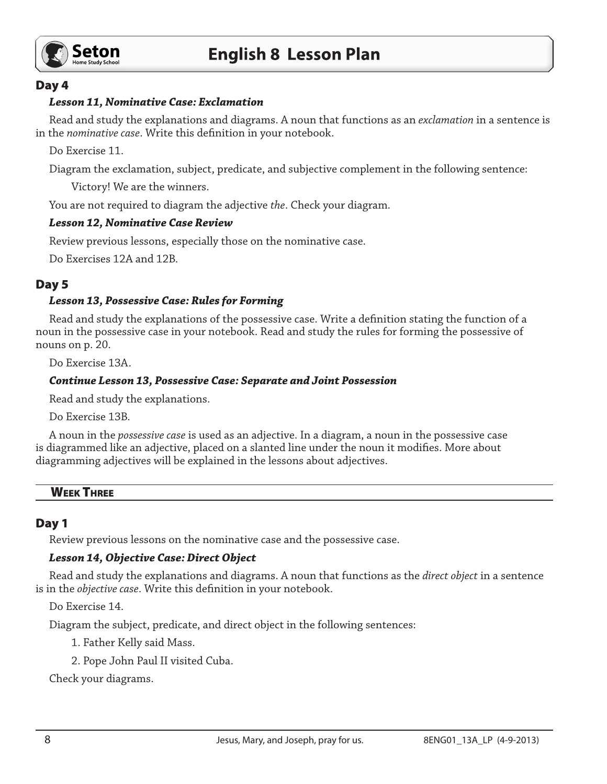

## Day 4

#### *Lesson 11, Nominative Case: Exclamation*

Read and study the explanations and diagrams. A noun that functions as an *exclamation* in a sentence is in the *nominative case*. Write this definition in your notebook.

Do Exercise 11.

Diagram the exclamation, subject, predicate, and subjective complement in the following sentence:

Victory! We are the winners.

You are not required to diagram the adjective *the*. Check your diagram.

## *Lesson 12, Nominative Case Review*

Review previous lessons, especially those on the nominative case.

Do Exercises 12A and 12B.

# Day 5

## *Lesson 13, Possessive Case: Rules for Forming*

Read and study the explanations of the possessive case. Write a definition stating the function of a noun in the possessive case in your notebook. Read and study the rules for forming the possessive of nouns on p. 20.

Do Exercise 13A.

## *Continue Lesson 13, Possessive Case: Separate and Joint Possession*

Read and study the explanations.

Do Exercise 13B.

A noun in the *possessive case* is used as an adjective. In a diagram, a noun in the possessive case is diagrammed like an adjective, placed on a slanted line under the noun it modifies. More about diagramming adjectives will be explained in the lessons about adjectives.

#### **WEEK THREE**

# Day 1

Review previous lessons on the nominative case and the possessive case.

#### *Lesson 14, Objective Case: Direct Object*

Read and study the explanations and diagrams. A noun that functions as the *direct object* in a sentence is in the *objective case*. Write this definition in your notebook.

Do Exercise 14.

Diagram the subject, predicate, and direct object in the following sentences:

1. Father Kelly said Mass.

2. Pope John Paul II visited Cuba.

Check your diagrams.